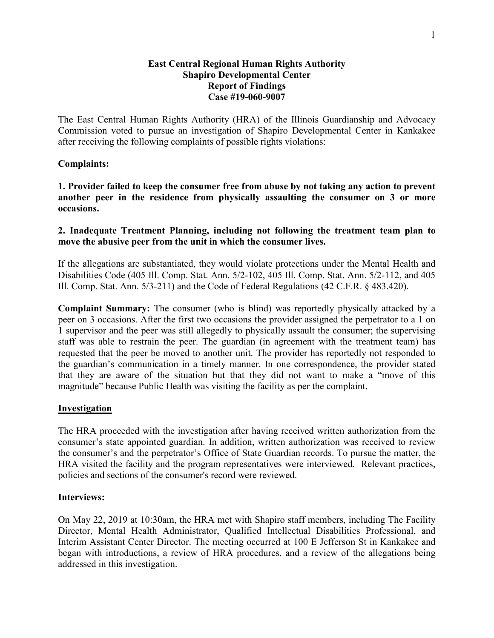## **East Central Regional Human Rights Authority Shapiro Developmental Center Report of Findings Case #19-060-9007**

The East Central Human Rights Authority (HRA) of the Illinois Guardianship and Advocacy Commission voted to pursue an investigation of Shapiro Developmental Center in Kankakee after receiving the following complaints of possible rights violations:

## **Complaints:**

**1. Provider failed to keep the consumer free from abuse by not taking any action to prevent another peer in the residence from physically assaulting the consumer on 3 or more occasions.** 

## **2. Inadequate Treatment Planning, including not following the treatment team plan to move the abusive peer from the unit in which the consumer lives.**

If the allegations are substantiated, they would violate protections under the Mental Health and Disabilities Code (405 Ill. Comp. Stat. Ann. 5/2-102, 405 Ill. Comp. Stat. Ann. 5/2-112, and 405 Ill. Comp. Stat. Ann. 5/3-211) and the Code of Federal Regulations (42 C.F.R. § 483.420).

**Complaint Summary:** The consumer (who is blind) was reportedly physically attacked by a peer on 3 occasions. After the first two occasions the provider assigned the perpetrator to a 1 on 1 supervisor and the peer was still allegedly to physically assault the consumer; the supervising staff was able to restrain the peer. The guardian (in agreement with the treatment team) has requested that the peer be moved to another unit. The provider has reportedly not responded to the guardian's communication in a timely manner. In one correspondence, the provider stated that they are aware of the situation but that they did not want to make a "move of this magnitude" because Public Health was visiting the facility as per the complaint.

## **Investigation**

The HRA proceeded with the investigation after having received written authorization from the consumer's state appointed guardian. In addition, written authorization was received to review the consumer's and the perpetrator's Office of State Guardian records. To pursue the matter, the HRA visited the facility and the program representatives were interviewed. Relevant practices, policies and sections of the consumer's record were reviewed.

## **Interviews:**

On May 22, 2019 at 10:30am, the HRA met with Shapiro staff members, including The Facility Director, Mental Health Administrator, Qualified Intellectual Disabilities Professional, and Interim Assistant Center Director. The meeting occurred at 100 E Jefferson St in Kankakee and began with introductions, a review of HRA procedures, and a review of the allegations being addressed in this investigation.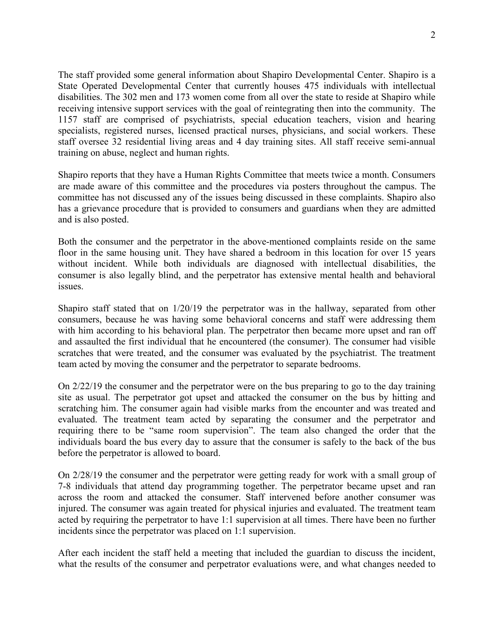The staff provided some general information about Shapiro Developmental Center. Shapiro is a State Operated Developmental Center that currently houses 475 individuals with intellectual disabilities. The 302 men and 173 women come from all over the state to reside at Shapiro while receiving intensive support services with the goal of reintegrating then into the community. The 1157 staff are comprised of psychiatrists, special education teachers, vision and hearing specialists, registered nurses, licensed practical nurses, physicians, and social workers. These staff oversee 32 residential living areas and 4 day training sites. All staff receive semi-annual training on abuse, neglect and human rights.

Shapiro reports that they have a Human Rights Committee that meets twice a month. Consumers are made aware of this committee and the procedures via posters throughout the campus. The committee has not discussed any of the issues being discussed in these complaints. Shapiro also has a grievance procedure that is provided to consumers and guardians when they are admitted and is also posted.

Both the consumer and the perpetrator in the above-mentioned complaints reside on the same floor in the same housing unit. They have shared a bedroom in this location for over 15 years without incident. While both individuals are diagnosed with intellectual disabilities, the consumer is also legally blind, and the perpetrator has extensive mental health and behavioral issues.

Shapiro staff stated that on 1/20/19 the perpetrator was in the hallway, separated from other consumers, because he was having some behavioral concerns and staff were addressing them with him according to his behavioral plan. The perpetrator then became more upset and ran off and assaulted the first individual that he encountered (the consumer). The consumer had visible scratches that were treated, and the consumer was evaluated by the psychiatrist. The treatment team acted by moving the consumer and the perpetrator to separate bedrooms.

On 2/22/19 the consumer and the perpetrator were on the bus preparing to go to the day training site as usual. The perpetrator got upset and attacked the consumer on the bus by hitting and scratching him. The consumer again had visible marks from the encounter and was treated and evaluated. The treatment team acted by separating the consumer and the perpetrator and requiring there to be "same room supervision". The team also changed the order that the individuals board the bus every day to assure that the consumer is safely to the back of the bus before the perpetrator is allowed to board.

On 2/28/19 the consumer and the perpetrator were getting ready for work with a small group of 7-8 individuals that attend day programming together. The perpetrator became upset and ran across the room and attacked the consumer. Staff intervened before another consumer was injured. The consumer was again treated for physical injuries and evaluated. The treatment team acted by requiring the perpetrator to have 1:1 supervision at all times. There have been no further incidents since the perpetrator was placed on 1:1 supervision.

After each incident the staff held a meeting that included the guardian to discuss the incident, what the results of the consumer and perpetrator evaluations were, and what changes needed to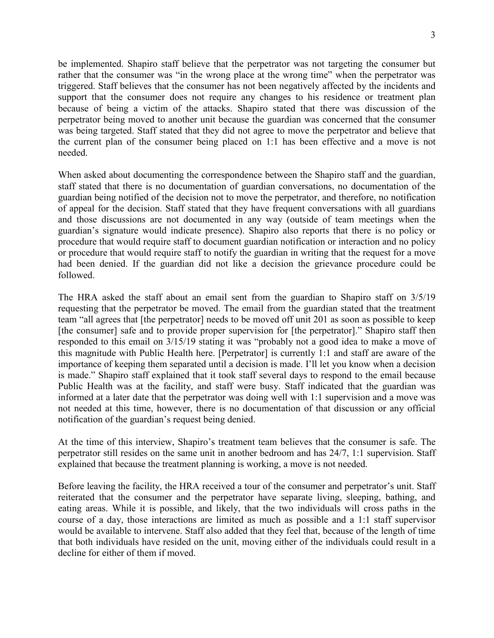be implemented. Shapiro staff believe that the perpetrator was not targeting the consumer but rather that the consumer was "in the wrong place at the wrong time" when the perpetrator was triggered. Staff believes that the consumer has not been negatively affected by the incidents and support that the consumer does not require any changes to his residence or treatment plan because of being a victim of the attacks. Shapiro stated that there was discussion of the perpetrator being moved to another unit because the guardian was concerned that the consumer was being targeted. Staff stated that they did not agree to move the perpetrator and believe that the current plan of the consumer being placed on 1:1 has been effective and a move is not needed.

When asked about documenting the correspondence between the Shapiro staff and the guardian, staff stated that there is no documentation of guardian conversations, no documentation of the guardian being notified of the decision not to move the perpetrator, and therefore, no notification of appeal for the decision. Staff stated that they have frequent conversations with all guardians and those discussions are not documented in any way (outside of team meetings when the guardian's signature would indicate presence). Shapiro also reports that there is no policy or procedure that would require staff to document guardian notification or interaction and no policy or procedure that would require staff to notify the guardian in writing that the request for a move had been denied. If the guardian did not like a decision the grievance procedure could be followed.

The HRA asked the staff about an email sent from the guardian to Shapiro staff on 3/5/19 requesting that the perpetrator be moved. The email from the guardian stated that the treatment team "all agrees that [the perpetrator] needs to be moved off unit 201 as soon as possible to keep [the consumer] safe and to provide proper supervision for [the perpetrator]." Shapiro staff then responded to this email on 3/15/19 stating it was "probably not a good idea to make a move of this magnitude with Public Health here. [Perpetrator] is currently 1:1 and staff are aware of the importance of keeping them separated until a decision is made. I'll let you know when a decision is made." Shapiro staff explained that it took staff several days to respond to the email because Public Health was at the facility, and staff were busy. Staff indicated that the guardian was informed at a later date that the perpetrator was doing well with 1:1 supervision and a move was not needed at this time, however, there is no documentation of that discussion or any official notification of the guardian's request being denied.

At the time of this interview, Shapiro's treatment team believes that the consumer is safe. The perpetrator still resides on the same unit in another bedroom and has 24/7, 1:1 supervision. Staff explained that because the treatment planning is working, a move is not needed.

Before leaving the facility, the HRA received a tour of the consumer and perpetrator's unit. Staff reiterated that the consumer and the perpetrator have separate living, sleeping, bathing, and eating areas. While it is possible, and likely, that the two individuals will cross paths in the course of a day, those interactions are limited as much as possible and a 1:1 staff supervisor would be available to intervene. Staff also added that they feel that, because of the length of time that both individuals have resided on the unit, moving either of the individuals could result in a decline for either of them if moved.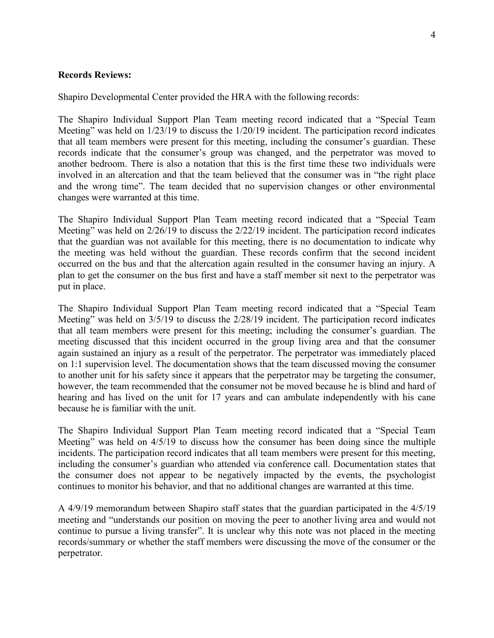### **Records Reviews:**

Shapiro Developmental Center provided the HRA with the following records:

The Shapiro Individual Support Plan Team meeting record indicated that a "Special Team Meeting" was held on 1/23/19 to discuss the 1/20/19 incident. The participation record indicates that all team members were present for this meeting, including the consumer's guardian. These records indicate that the consumer's group was changed, and the perpetrator was moved to another bedroom. There is also a notation that this is the first time these two individuals were involved in an altercation and that the team believed that the consumer was in "the right place and the wrong time". The team decided that no supervision changes or other environmental changes were warranted at this time.

The Shapiro Individual Support Plan Team meeting record indicated that a "Special Team Meeting" was held on 2/26/19 to discuss the 2/22/19 incident. The participation record indicates that the guardian was not available for this meeting, there is no documentation to indicate why the meeting was held without the guardian. These records confirm that the second incident occurred on the bus and that the altercation again resulted in the consumer having an injury. A plan to get the consumer on the bus first and have a staff member sit next to the perpetrator was put in place.

The Shapiro Individual Support Plan Team meeting record indicated that a "Special Team Meeting" was held on  $3/5/19$  to discuss the  $2/28/19$  incident. The participation record indicates that all team members were present for this meeting; including the consumer's guardian. The meeting discussed that this incident occurred in the group living area and that the consumer again sustained an injury as a result of the perpetrator. The perpetrator was immediately placed on 1:1 supervision level. The documentation shows that the team discussed moving the consumer to another unit for his safety since it appears that the perpetrator may be targeting the consumer, however, the team recommended that the consumer not be moved because he is blind and hard of hearing and has lived on the unit for 17 years and can ambulate independently with his cane because he is familiar with the unit.

The Shapiro Individual Support Plan Team meeting record indicated that a "Special Team Meeting" was held on 4/5/19 to discuss how the consumer has been doing since the multiple incidents. The participation record indicates that all team members were present for this meeting, including the consumer's guardian who attended via conference call. Documentation states that the consumer does not appear to be negatively impacted by the events, the psychologist continues to monitor his behavior, and that no additional changes are warranted at this time.

A 4/9/19 memorandum between Shapiro staff states that the guardian participated in the 4/5/19 meeting and "understands our position on moving the peer to another living area and would not continue to pursue a living transfer". It is unclear why this note was not placed in the meeting records/summary or whether the staff members were discussing the move of the consumer or the perpetrator.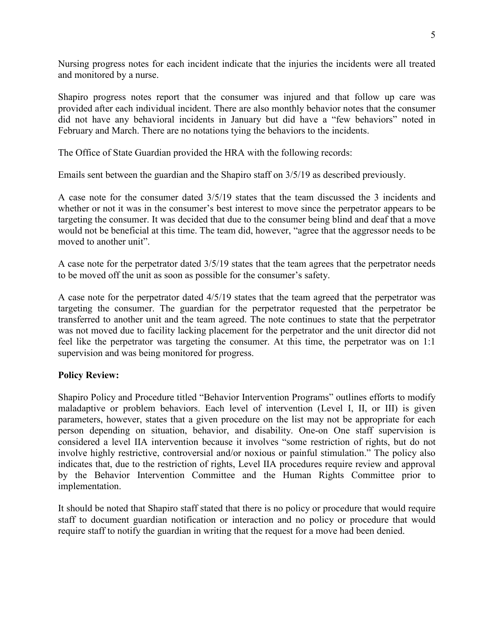Nursing progress notes for each incident indicate that the injuries the incidents were all treated and monitored by a nurse.

Shapiro progress notes report that the consumer was injured and that follow up care was provided after each individual incident. There are also monthly behavior notes that the consumer did not have any behavioral incidents in January but did have a "few behaviors" noted in February and March. There are no notations tying the behaviors to the incidents.

The Office of State Guardian provided the HRA with the following records:

Emails sent between the guardian and the Shapiro staff on 3/5/19 as described previously.

A case note for the consumer dated 3/5/19 states that the team discussed the 3 incidents and whether or not it was in the consumer's best interest to move since the perpetrator appears to be targeting the consumer. It was decided that due to the consumer being blind and deaf that a move would not be beneficial at this time. The team did, however, "agree that the aggressor needs to be moved to another unit".

A case note for the perpetrator dated 3/5/19 states that the team agrees that the perpetrator needs to be moved off the unit as soon as possible for the consumer's safety.

A case note for the perpetrator dated 4/5/19 states that the team agreed that the perpetrator was targeting the consumer. The guardian for the perpetrator requested that the perpetrator be transferred to another unit and the team agreed. The note continues to state that the perpetrator was not moved due to facility lacking placement for the perpetrator and the unit director did not feel like the perpetrator was targeting the consumer. At this time, the perpetrator was on 1:1 supervision and was being monitored for progress.

## **Policy Review:**

Shapiro Policy and Procedure titled "Behavior Intervention Programs" outlines efforts to modify maladaptive or problem behaviors. Each level of intervention (Level I, II, or III) is given parameters, however, states that a given procedure on the list may not be appropriate for each person depending on situation, behavior, and disability. One-on One staff supervision is considered a level IIA intervention because it involves "some restriction of rights, but do not involve highly restrictive, controversial and/or noxious or painful stimulation." The policy also indicates that, due to the restriction of rights, Level IIA procedures require review and approval by the Behavior Intervention Committee and the Human Rights Committee prior to implementation.

It should be noted that Shapiro staff stated that there is no policy or procedure that would require staff to document guardian notification or interaction and no policy or procedure that would require staff to notify the guardian in writing that the request for a move had been denied.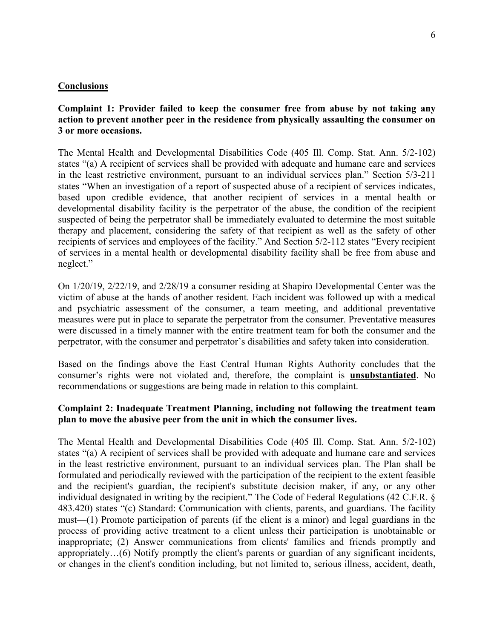#### **Conclusions**

## **Complaint 1: Provider failed to keep the consumer free from abuse by not taking any action to prevent another peer in the residence from physically assaulting the consumer on 3 or more occasions.**

The Mental Health and Developmental Disabilities Code (405 Ill. Comp. Stat. Ann. 5/2-102) states "(a) A recipient of services shall be provided with adequate and humane care and services in the least restrictive environment, pursuant to an individual services plan." Section 5/3-211 states "When an investigation of a report of suspected abuse of a recipient of services indicates, based upon credible evidence, that another recipient of services in a mental health or developmental disability facility is the perpetrator of the abuse, the condition of the recipient suspected of being the perpetrator shall be immediately evaluated to determine the most suitable therapy and placement, considering the safety of that recipient as well as the safety of other recipients of services and employees of the facility." And Section 5/2-112 states "Every recipient of services in a mental health or developmental disability facility shall be free from abuse and neglect."

On 1/20/19, 2/22/19, and 2/28/19 a consumer residing at Shapiro Developmental Center was the victim of abuse at the hands of another resident. Each incident was followed up with a medical and psychiatric assessment of the consumer, a team meeting, and additional preventative measures were put in place to separate the perpetrator from the consumer. Preventative measures were discussed in a timely manner with the entire treatment team for both the consumer and the perpetrator, with the consumer and perpetrator's disabilities and safety taken into consideration.

Based on the findings above the East Central Human Rights Authority concludes that the consumer's rights were not violated and, therefore, the complaint is **unsubstantiated**. No recommendations or suggestions are being made in relation to this complaint.

## **Complaint 2: Inadequate Treatment Planning, including not following the treatment team plan to move the abusive peer from the unit in which the consumer lives.**

The Mental Health and Developmental Disabilities Code (405 Ill. Comp. Stat. Ann. 5/2-102) states "(a) A recipient of services shall be provided with adequate and humane care and services in the least restrictive environment, pursuant to an individual services plan. The Plan shall be formulated and periodically reviewed with the participation of the recipient to the extent feasible and the recipient's guardian, the recipient's substitute decision maker, if any, or any other individual designated in writing by the recipient." The Code of Federal Regulations (42 C.F.R. § 483.420) states "(c) Standard: Communication with clients, parents, and guardians. The facility must—(1) Promote participation of parents (if the client is a minor) and legal guardians in the process of providing active treatment to a client unless their participation is unobtainable or inappropriate; (2) Answer communications from clients' families and friends promptly and appropriately…(6) Notify promptly the client's parents or guardian of any significant incidents, or changes in the client's condition including, but not limited to, serious illness, accident, death,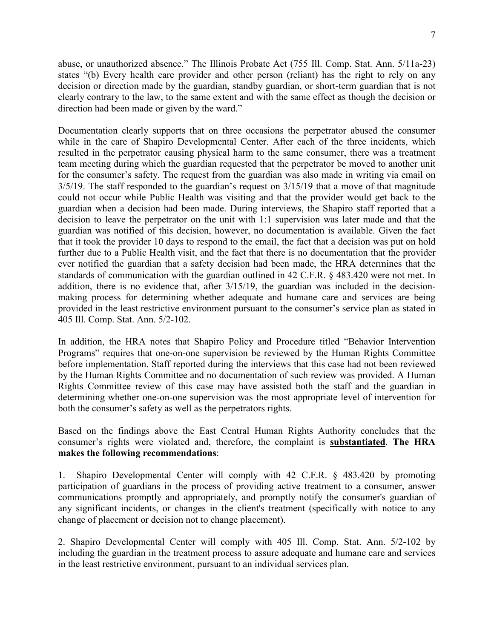abuse, or unauthorized absence." The Illinois Probate Act (755 Ill. Comp. Stat. Ann. 5/11a-23) states "(b) Every health care provider and other person (reliant) has the right to rely on any decision or direction made by the guardian, standby guardian, or short-term guardian that is not clearly contrary to the law, to the same extent and with the same effect as though the decision or direction had been made or given by the ward."

Documentation clearly supports that on three occasions the perpetrator abused the consumer while in the care of Shapiro Developmental Center. After each of the three incidents, which resulted in the perpetrator causing physical harm to the same consumer, there was a treatment team meeting during which the guardian requested that the perpetrator be moved to another unit for the consumer's safety. The request from the guardian was also made in writing via email on 3/5/19. The staff responded to the guardian's request on 3/15/19 that a move of that magnitude could not occur while Public Health was visiting and that the provider would get back to the guardian when a decision had been made. During interviews, the Shapiro staff reported that a decision to leave the perpetrator on the unit with 1:1 supervision was later made and that the guardian was notified of this decision, however, no documentation is available. Given the fact that it took the provider 10 days to respond to the email, the fact that a decision was put on hold further due to a Public Health visit, and the fact that there is no documentation that the provider ever notified the guardian that a safety decision had been made, the HRA determines that the standards of communication with the guardian outlined in 42 C.F.R. § 483.420 were not met. In addition, there is no evidence that, after 3/15/19, the guardian was included in the decisionmaking process for determining whether adequate and humane care and services are being provided in the least restrictive environment pursuant to the consumer's service plan as stated in 405 Ill. Comp. Stat. Ann. 5/2-102.

In addition, the HRA notes that Shapiro Policy and Procedure titled "Behavior Intervention Programs" requires that one-on-one supervision be reviewed by the Human Rights Committee before implementation. Staff reported during the interviews that this case had not been reviewed by the Human Rights Committee and no documentation of such review was provided. A Human Rights Committee review of this case may have assisted both the staff and the guardian in determining whether one-on-one supervision was the most appropriate level of intervention for both the consumer's safety as well as the perpetrators rights.

Based on the findings above the East Central Human Rights Authority concludes that the consumer's rights were violated and, therefore, the complaint is **substantiated**. **The HRA makes the following recommendations**:

1. Shapiro Developmental Center will comply with 42 C.F.R. § 483.420 by promoting participation of guardians in the process of providing active treatment to a consumer, answer communications promptly and appropriately, and promptly notify the consumer's guardian of any significant incidents, or changes in the client's treatment (specifically with notice to any change of placement or decision not to change placement).

2. Shapiro Developmental Center will comply with 405 Ill. Comp. Stat. Ann. 5/2-102 by including the guardian in the treatment process to assure adequate and humane care and services in the least restrictive environment, pursuant to an individual services plan.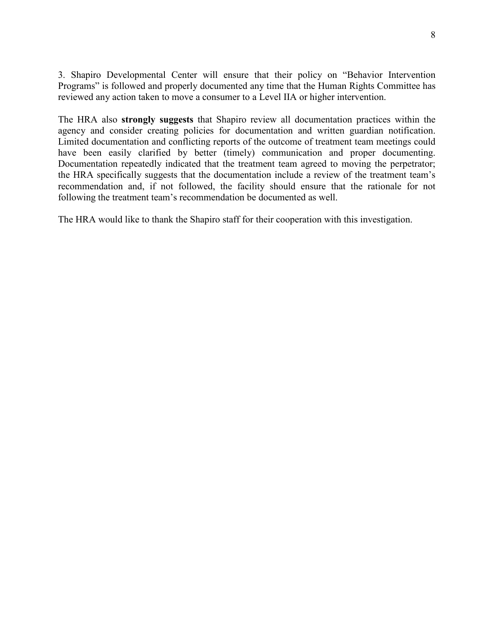3. Shapiro Developmental Center will ensure that their policy on "Behavior Intervention Programs" is followed and properly documented any time that the Human Rights Committee has reviewed any action taken to move a consumer to a Level IIA or higher intervention.

The HRA also **strongly suggests** that Shapiro review all documentation practices within the agency and consider creating policies for documentation and written guardian notification. Limited documentation and conflicting reports of the outcome of treatment team meetings could have been easily clarified by better (timely) communication and proper documenting. Documentation repeatedly indicated that the treatment team agreed to moving the perpetrator; the HRA specifically suggests that the documentation include a review of the treatment team's recommendation and, if not followed, the facility should ensure that the rationale for not following the treatment team's recommendation be documented as well.

The HRA would like to thank the Shapiro staff for their cooperation with this investigation.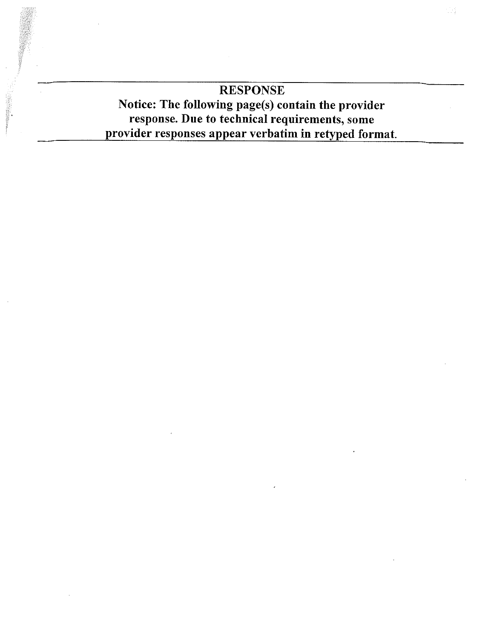# **RESPONSE** Notice: The following page(s) contain the provider response. Due to technical requirements, some provider responses appear verbatim in retyped format.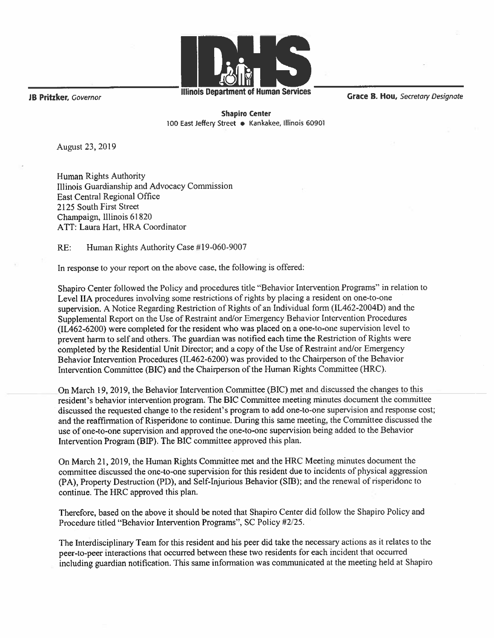

Illinois Department of Human Services

Grace B. Hou, Secretary Designate

**JB Pritzker**, Governor

**Shapiro Center** 100 East Jeffery Street . Kankakee, Illinois 60901

August 23, 2019

Human Rights Authority Illinois Guardianship and Advocacy Commission East Central Regional Office 2125 South First Street Champaign, Illinois 61820 ATT: Laura Hart, HRA Coordinator

 $RE:$ Human Rights Authority Case #19-060-9007

In response to your report on the above case, the following is offered:

Shapiro Center followed the Policy and procedures title "Behavior Intervention Programs" in relation to Level IIA procedures involving some restrictions of rights by placing a resident on one-to-one supervision. A Notice Regarding Restriction of Rights of an Individual form (IL462-2004D) and the Supplemental Report on the Use of Restraint and/or Emergency Behavior Intervention Procedures (IL462-6200) were completed for the resident who was placed on a one-to-one supervision level to prevent harm to self and others. The guardian was notified each time the Restriction of Rights were completed by the Residential Unit Director; and a copy of the Use of Restraint and/or Emergency Behavior Intervention Procedures (IL462-6200) was provided to the Chairperson of the Behavior Intervention Committee (BIC) and the Chairperson of the Human Rights Committee (HRC).

On March 19, 2019, the Behavior Intervention Committee (BIC) met and discussed the changes to this resident's behavior intervention program. The BIC Committee meeting minutes document the committee discussed the requested change to the resident's program to add one-to-one supervision and response cost; and the reaffirmation of Risperidone to continue. During this same meeting, the Committee discussed the use of one-to-one supervision and approved the one-to-one supervision being added to the Behavior Intervention Program (BIP). The BIC committee approved this plan.

On March 21, 2019, the Human Rights Committee met and the HRC Meeting minutes document the committee discussed the one-to-one supervision for this resident due to incidents of physical aggression (PA), Property Destruction (PD), and Self-Injurious Behavior (SIB); and the renewal of risperidone to continue. The HRC approved this plan.

Therefore, based on the above it should be noted that Shapiro Center did follow the Shapiro Policy and Procedure titled "Behavior Intervention Programs", SC Policy #2/25.

The Interdisciplinary Team for this resident and his peer did take the necessary actions as it relates to the peer-to-peer interactions that occurred between these two residents for each incident that occurred including guardian notification. This same information was communicated at the meeting held at Shapiro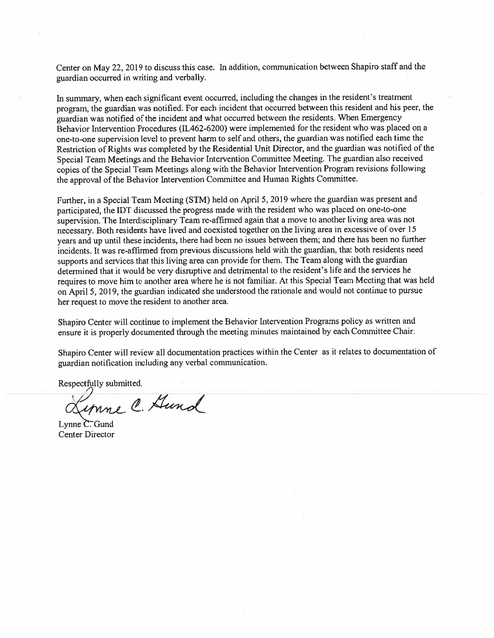Center on May 22, 2019 to discuss this case. In addition, communication between Shapiro staff and the guardian occurred in writing and verbally.

In summary, when each significant event occurred, including the changes in the resident's treatment program, the guardian was notified. For each incident that occurred between this resident and his peer, the guardian was notified of the incident and what occurred between the residents. When Emergency Behavior Intervention Procedures (IL462-6200) were implemented for the resident who was placed on a one-to-one supervision level to prevent harm to self and others, the guardian was notified each time the Restriction of Rights was completed by the Residential Unit Director, and the guardian was notified of the Special Team Meetings and the Behavior Intervention Committee Meeting. The guardian also received copies of the Special Team Meetings along with the Behavior Intervention Program revisions following the approval of the Behavior Intervention Committee and Human Rights Committee.

Further, in a Special Team Meeting (STM) held on April 5, 2019 where the guardian was present and participated, the IDT discussed the progress made with the resident who was placed on one-to-one supervision. The Interdisciplinary Team re-affirmed again that a move to another living area was not necessary. Both residents have lived and coexisted together on the living area in excessive of over 15 years and up until these incidents, there had been no issues between them; and there has been no further incidents. It was re-affirmed from previous discussions held with the guardian, that both residents need supports and services that this living area can provide for them. The Team along with the guardian determined that it would be very disruptive and detrimental to the resident's life and the services he requires to move him to another area where he is not familiar. At this Special Team Meeting that was held on April 5, 2019, the guardian indicated she understood the rationale and would not continue to pursue her request to move the resident to another area.

Shapiro Center will continue to implement the Behavior Intervention Programs policy as written and ensure it is properly documented through the meeting minutes maintained by each Committee Chair.

Shapiro Center will review all documentation practices within the Center as it relates to documentation of guardian notification including any verbal communication.

Respectfully submitted,

unne C. Gund

Lynne  $\overline{C}$ . Gund **Center Director**